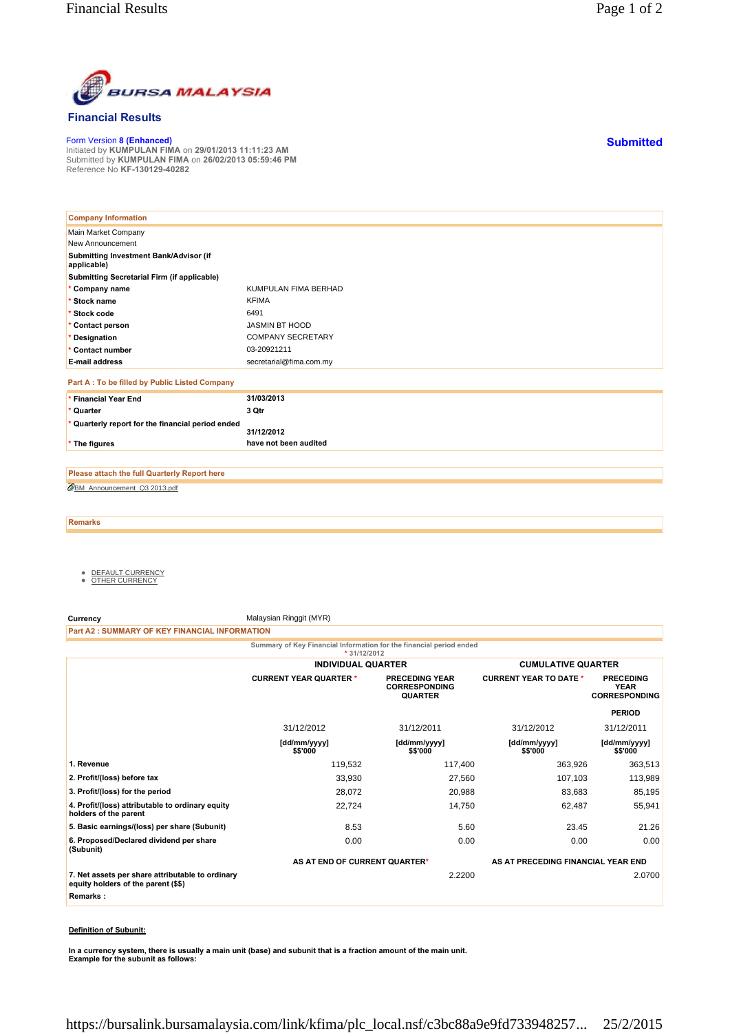

## **Financial Results**

Form Version **8 (Enhanced)** Initiated by **KUMPULAN FIMA** on **29/01/2013 11:11:23 AM** Submitted by **KUMPULAN FIMA** on **26/02/2013 05:59:46 PM** Reference No **KF-130129-40282**

| <b>Company Information</b>                            |                          |
|-------------------------------------------------------|--------------------------|
| Main Market Company                                   |                          |
| New Announcement                                      |                          |
| Submitting Investment Bank/Advisor (if<br>applicable) |                          |
| Submitting Secretarial Firm (if applicable)           |                          |
| * Company name                                        | KUMPULAN FIMA BERHAD     |
| * Stock name                                          | <b>KFIMA</b>             |
| * Stock code                                          | 6491                     |
| * Contact person                                      | JASMIN BT HOOD           |
| * Designation                                         | <b>COMPANY SECRETARY</b> |
| * Contact number                                      | 03-20921211              |
| <b>E-mail address</b>                                 | secretarial@fima.com.my  |
| Part A : To be filled by Public Listed Company        |                          |
| * Financial Year End                                  | 31/03/2013               |
| * Quarter                                             | 3 Qtr                    |
| * Quarterly report for the financial period ended     | 31/12/2012               |
| * The figures                                         | have not been audited    |

BM\_Announcement\_Q3 2013.pdf **Please attach the full Quarterly Report here**

**Remarks**

- <u>DEFAULT CURRENCY</u><br>● <u>OTHER CURRENCY</u>
- 

**Currency** Malaysian Ringgit (MYR)

**Part A2 : SUMMARY OF KEY FINANCIAL INFORMATION**

**Summary of Key Financial Information for the financial period ended \* 31/12/2012 INDIVIDUAL QUARTER CUMULATIVE QUARTER**

|                                                                                         | <b>CURRENT YEAR QUARTER *</b> | <b>PRECEDING YEAR</b><br><b>CORRESPONDING</b><br><b>QUARTER</b> | <b>CURRENT YEAR TO DATE *</b> | <b>PRECEDING</b><br><b>YEAR</b><br><b>CORRESPONDING</b> |
|-----------------------------------------------------------------------------------------|-------------------------------|-----------------------------------------------------------------|-------------------------------|---------------------------------------------------------|
|                                                                                         |                               |                                                                 |                               | <b>PERIOD</b>                                           |
|                                                                                         | 31/12/2012                    | 31/12/2011                                                      | 31/12/2012                    | 31/12/2011                                              |
|                                                                                         | [dd/mm/yyyy]<br>\$\$'000      | [dd/mm/yyyy]<br>\$\$'000                                        | [dd/mm/yyyy]<br>\$\$'000      | [dd/mm/yyyy]<br>\$\$'000                                |
| 1. Revenue                                                                              | 119,532                       | 117,400                                                         | 363,926                       | 363,513                                                 |
| 2. Profit/(loss) before tax                                                             | 33,930                        | 27,560                                                          | 107,103                       | 113,989                                                 |
| 3. Profit/(loss) for the period                                                         | 28,072                        | 20,988                                                          | 83,683                        | 85,195                                                  |
| 4. Profit/(loss) attributable to ordinary equity<br>holders of the parent               | 22,724                        | 14,750                                                          | 62,487                        | 55,941                                                  |
| 5. Basic earnings/(loss) per share (Subunit)                                            | 8.53                          | 5.60                                                            | 23.45                         | 21.26                                                   |
| 6. Proposed/Declared dividend per share<br>(Subunit)                                    | 0.00                          | 0.00                                                            | 0.00                          | 0.00                                                    |
|                                                                                         |                               | AS AT END OF CURRENT QUARTER*                                   |                               | AS AT PRECEDING FINANCIAL YEAR END                      |
| 7. Net assets per share attributable to ordinary<br>equity holders of the parent (\$\$) |                               | 2.2200                                                          |                               | 2.0700                                                  |
| Remarks:                                                                                |                               |                                                                 |                               |                                                         |

## **Definition of Subunit:**

**In a currency system, there is usually a main unit (base) and subunit that is a fraction amount of the main unit. Example for the subunit as follows:**

**Submitted**